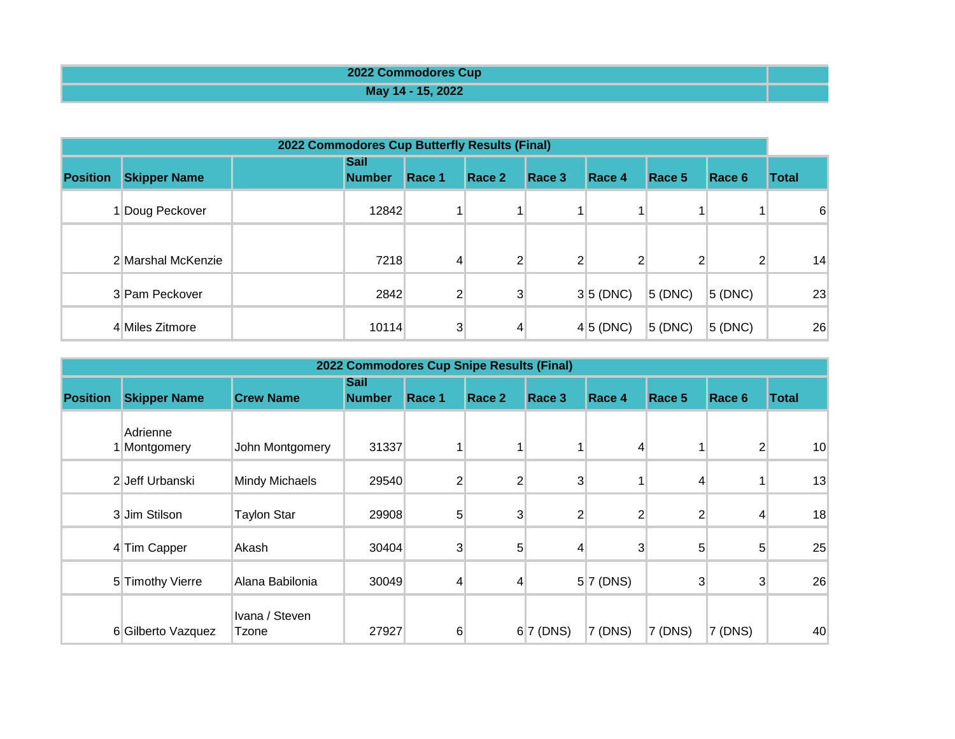| 2022 Commodores Cup |  |
|---------------------|--|
| May 14 - 15, 2022   |  |

| 2022 Commodores Cup Butterfly Results (Final) |                     |  |                              |                |                |                |                |        |                |              |
|-----------------------------------------------|---------------------|--|------------------------------|----------------|----------------|----------------|----------------|--------|----------------|--------------|
| <b>Position</b>                               | <b>Skipper Name</b> |  | <b>Sail</b><br><b>Number</b> | Race 1         | Race 2         | Race 3         | Race 4         | Race 5 | Race 6         | <b>Total</b> |
|                                               | Doug Peckover       |  | 12842                        |                |                |                |                |        |                | 6            |
|                                               | 2 Marshal McKenzie  |  | 7218                         | 4              | $\overline{2}$ | $\overline{2}$ | $\overline{2}$ | 2      | $\overline{2}$ | 14           |
|                                               | 3 Pam Peckover      |  | 2842                         | $\overline{2}$ | 3              |                | 3 5(DNC)       | 5(DNC) | $5$ (DNC)      | 23           |
|                                               | 4 Miles Zitmore     |  | 10114                        | 3              | 4              |                | 4 5(DNC)       | 5(DNC) | $5$ (DNC)      | 26           |

| 2022 Commodores Cup Snipe Results (Final) |                          |                         |                              |                 |                |                |                |                |                |                 |
|-------------------------------------------|--------------------------|-------------------------|------------------------------|-----------------|----------------|----------------|----------------|----------------|----------------|-----------------|
| <b>Position</b>                           | <b>Skipper Name</b>      | <b>Crew Name</b>        | <b>Sail</b><br><b>Number</b> | Race 1          | Race 2         | Race 3         | Race 4         | Race 5         | Race 6         | <b>Total</b>    |
|                                           | Adrienne<br>1 Montgomery | John Montgomery         | 31337                        |                 |                |                | 4              |                | $\overline{2}$ | 10 <sup>°</sup> |
|                                           | 2 Jeff Urbanski          | <b>Mindy Michaels</b>   | 29540                        | $\overline{2}$  | $\overline{2}$ | $\mathbf{3}$   |                | 4              |                | 13              |
|                                           | 3 Jim Stilson            | <b>Taylon Star</b>      | 29908                        | $5\overline{)}$ | 3              | $\overline{2}$ | $\mathbf{2}$   | $\overline{2}$ | 4              | 18              |
|                                           | 4 Tim Capper             | Akash                   | 30404                        | 3               | 5 <sup>5</sup> | $\overline{4}$ | 3 <sup>1</sup> | 5 <sup>1</sup> | 5              | 25              |
|                                           | 5 Timothy Vierre         | Alana Babilonia         | 30049                        | $\overline{4}$  | 4              |                | $5 7$ (DNS)    | $\mathbf{3}$   | 3              | 26              |
|                                           | 6 Gilberto Vazquez       | Ivana / Steven<br>Tzone | 27927                        | 6               |                | 6 7 (DNS)      | 7 (DNS)        | $7$ (DNS)      | 7 (DNS)        | 40              |